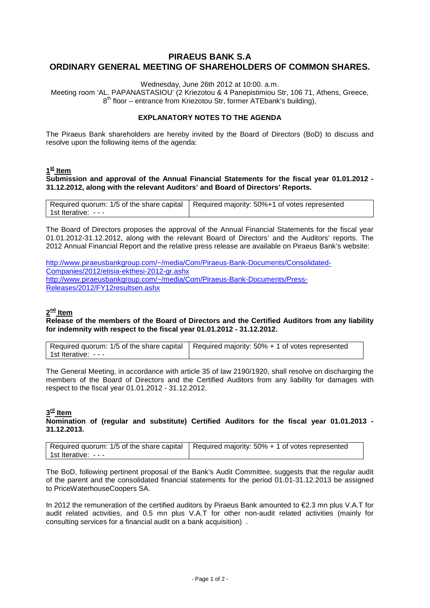# **PIRAEUS BANK S.A ORDINARY GENERAL MEETING OF SHAREHOLDERS OF COMMON SHARES.**

Wednesday, June 26th 2012 at 10:00. a.m.

Meeting room 'AL. PAPANASTASIOU' (2 Kriezotou & 4 Panepistimiou Str, 106 71, Athens, Greece, 8<sup>th</sup> floor – entrance from Kriezotou Str, former ATEbank's building),

#### **EXPLANATORY NOTES TO THE AGENDA**

The Piraeus Bank shareholders are hereby invited by the Board of Directors (BoD) to discuss and resolve upon the following items of the agenda:

# **1st Item**

**Submission and approval of the Annual Financial Statements for the fiscal year 01.01.2012 - 31.12.2012, along with the relevant Auditors' and Board of Directors' Reports.**

|                           | Required quorum: 1/5 of the share capital   Required majority: 50%+1 of votes represented |
|---------------------------|-------------------------------------------------------------------------------------------|
| l 1st Iterative:  -  -  - |                                                                                           |

The Board of Directors proposes the approval of the Annual Financial Statements for the fiscal year 01.01.2012-31.12.2012, along with the relevant Board of Directors' and the Auditors' reports. The 2012 Annual Financial Report and the relative press release are available on Piraeus Bank's website:

[http://www.piraeusbankgroup.com/~/media/Com/Piraeus-Bank-Documents/Consolidated-](http://www.piraeusbankgroup.com/%7E/media/Com/Piraeus-Bank-Documents/Consolidated-Companies/2012/etisia-ekthesi-2012-gr.ashx)[Companies/2012/etisia-ekthesi-2012-gr.ashx](http://www.piraeusbankgroup.com/%7E/media/Com/Piraeus-Bank-Documents/Consolidated-Companies/2012/etisia-ekthesi-2012-gr.ashx) http://www.piraeusbankgroup.com/~/media/Com/Piraeus-Bank-Documents/Press-Releases/2012/FY12resultsen.ashx

## **2nd Item**

**Release of the members of the Board of Directors and the Certified Auditors from any liability for indemnity with respect to the fiscal year 01.01.2012 - 31.12.2012.**

|                      | Required quorum: 1/5 of the share capital   Required majority: 50% + 1 of votes represented |
|----------------------|---------------------------------------------------------------------------------------------|
| l 1st Iterative: --- |                                                                                             |

The General Meeting, in accordance with article 35 of law 2190/1920, shall resolve on discharging the members of the Board of Directors and the Certified Auditors from any liability for damages with respect to the fiscal year 01.01.2012 - 31.12.2012.

### **3rd Item**

### **Nomination of (regular and substitute) Certified Auditors for the fiscal year 01.01.2013 - 31.12.2013.**

|                    | Required quorum: 1/5 of the share capital   Required majority: 50% + 1 of votes represented |
|--------------------|---------------------------------------------------------------------------------------------|
| 1st Iterative: --- |                                                                                             |

The BoD, following pertinent proposal of the Bank's Audit Committee, suggests that the regular audit of the parent and the consolidated financial statements for the period 01.01-31.12.2013 be assigned to PriceWaterhouseCoopers SA.

In 2012 the remuneration of the certified auditors by Piraeus Bank amounted to €2.3 mn plus V.A.T for audit related activities, and 0.5 mn plus V.A.T for other non-audit related activities (mainly for consulting services for a financial audit on a bank acquisition) .